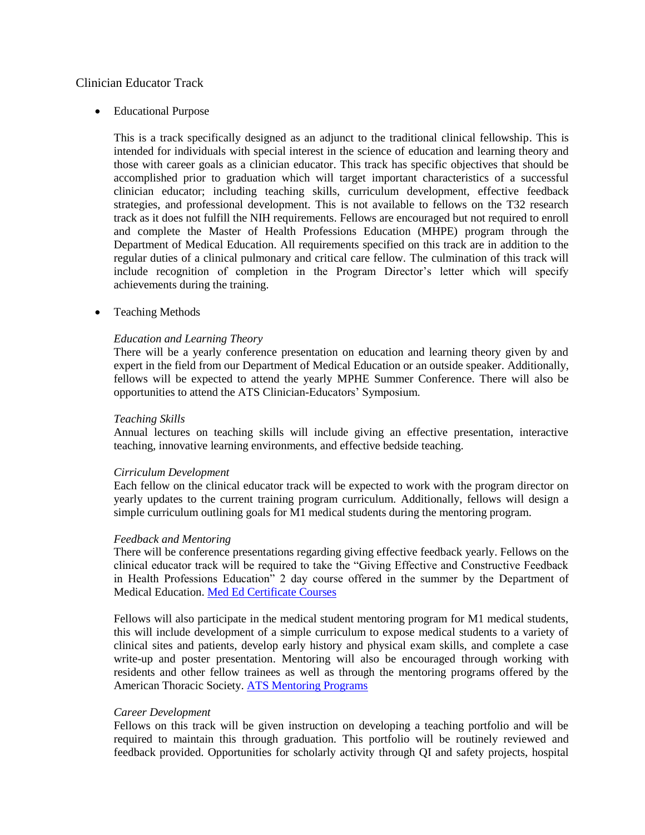# Clinician Educator Track

• Educational Purpose

This is a track specifically designed as an adjunct to the traditional clinical fellowship. This is intended for individuals with special interest in the science of education and learning theory and those with career goals as a clinician educator. This track has specific objectives that should be accomplished prior to graduation which will target important characteristics of a successful clinician educator; including teaching skills, curriculum development, effective feedback strategies, and professional development. This is not available to fellows on the T32 research track as it does not fulfill the NIH requirements. Fellows are encouraged but not required to enroll and complete the Master of Health Professions Education (MHPE) program through the Department of Medical Education. All requirements specified on this track are in addition to the regular duties of a clinical pulmonary and critical care fellow. The culmination of this track will include recognition of completion in the Program Director's letter which will specify achievements during the training.

Teaching Methods

## *Education and Learning Theory*

There will be a yearly conference presentation on education and learning theory given by and expert in the field from our Department of Medical Education or an outside speaker. Additionally, fellows will be expected to attend the yearly MPHE Summer Conference. There will also be opportunities to attend the ATS Clinician-Educators' Symposium.

#### *Teaching Skills*

Annual lectures on teaching skills will include giving an effective presentation, interactive teaching, innovative learning environments, and effective bedside teaching.

#### *Cirriculum Development*

Each fellow on the clinical educator track will be expected to work with the program director on yearly updates to the current training program curriculum. Additionally, fellows will design a simple curriculum outlining goals for M1 medical students during the mentoring program.

#### *Feedback and Mentoring*

There will be conference presentations regarding giving effective feedback yearly. Fellows on the clinical educator track will be required to take the "Giving Effective and Constructive Feedback in Health Professions Education" 2 day course offered in the summer by the Department of Medical Education. [Med Ed Certificate Courses](http://chicago.medicine.uic.edu/cms/One.aspx?portalId=506244&pageId=650547)

Fellows will also participate in the medical student mentoring program for M1 medical students, this will include development of a simple curriculum to expose medical students to a variety of clinical sites and patients, develop early history and physical exam skills, and complete a case write-up and poster presentation. Mentoring will also be encouraged through working with residents and other fellow trainees as well as through the mentoring programs offered by the American Thoracic Society. [ATS Mentoring Programs](https://www.thoracic.org/members/assemblies/ats-mentoring-programs.php)

#### *Career Development*

Fellows on this track will be given instruction on developing a teaching portfolio and will be required to maintain this through graduation. This portfolio will be routinely reviewed and feedback provided. Opportunities for scholarly activity through QI and safety projects, hospital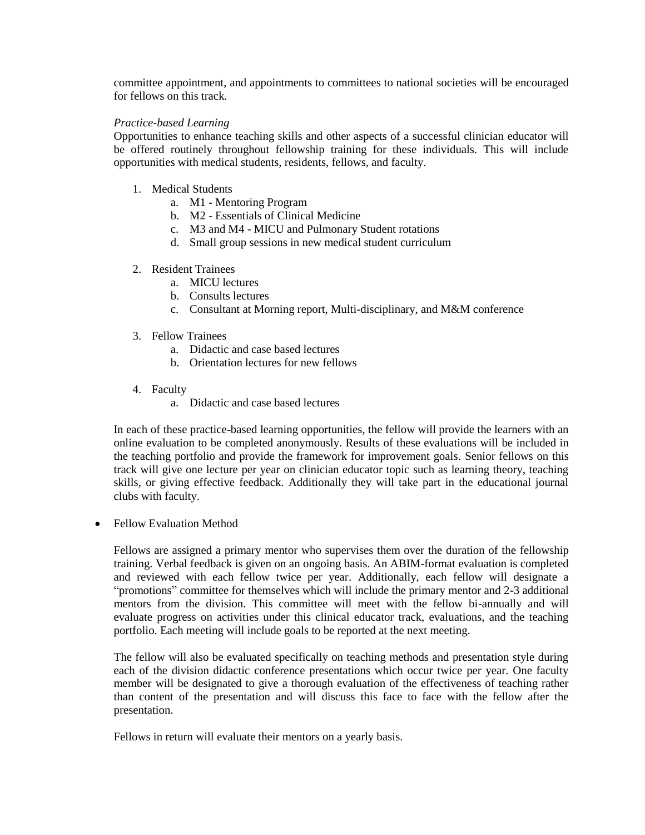committee appointment, and appointments to committees to national societies will be encouraged for fellows on this track.

# *Practice-based Learning*

Opportunities to enhance teaching skills and other aspects of a successful clinician educator will be offered routinely throughout fellowship training for these individuals. This will include opportunities with medical students, residents, fellows, and faculty.

- 1. Medical Students
	- a. M1 Mentoring Program
	- b. M2 Essentials of Clinical Medicine
	- c. M3 and M4 MICU and Pulmonary Student rotations
	- d. Small group sessions in new medical student curriculum

## 2. Resident Trainees

- a. MICU lectures
- b. Consults lectures
- c. Consultant at Morning report, Multi-disciplinary, and M&M conference
- 3. Fellow Trainees
	- a. Didactic and case based lectures
	- b. Orientation lectures for new fellows
- 4. Faculty
	- a. Didactic and case based lectures

In each of these practice-based learning opportunities, the fellow will provide the learners with an online evaluation to be completed anonymously. Results of these evaluations will be included in the teaching portfolio and provide the framework for improvement goals. Senior fellows on this track will give one lecture per year on clinician educator topic such as learning theory, teaching skills, or giving effective feedback. Additionally they will take part in the educational journal clubs with faculty.

• Fellow Evaluation Method

Fellows are assigned a primary mentor who supervises them over the duration of the fellowship training. Verbal feedback is given on an ongoing basis. An ABIM-format evaluation is completed and reviewed with each fellow twice per year. Additionally, each fellow will designate a "promotions" committee for themselves which will include the primary mentor and 2-3 additional mentors from the division. This committee will meet with the fellow bi-annually and will evaluate progress on activities under this clinical educator track, evaluations, and the teaching portfolio. Each meeting will include goals to be reported at the next meeting.

The fellow will also be evaluated specifically on teaching methods and presentation style during each of the division didactic conference presentations which occur twice per year. One faculty member will be designated to give a thorough evaluation of the effectiveness of teaching rather than content of the presentation and will discuss this face to face with the fellow after the presentation.

Fellows in return will evaluate their mentors on a yearly basis.